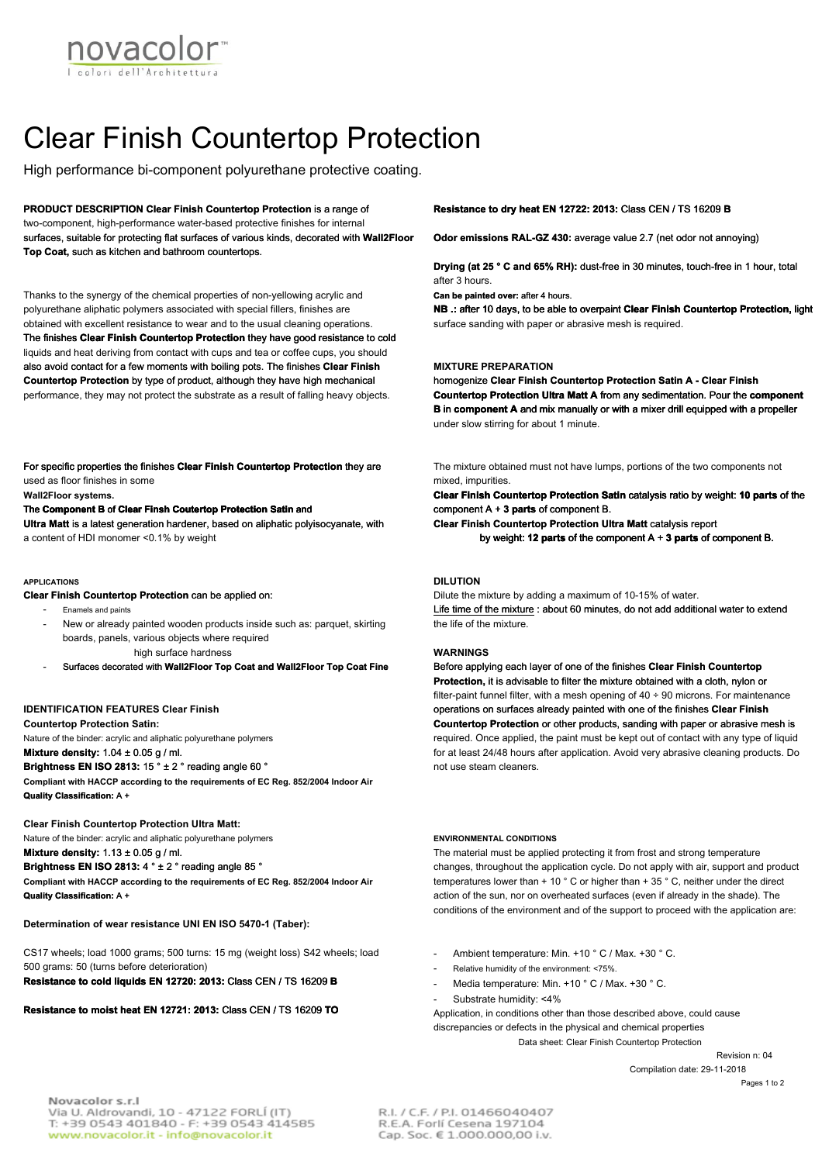

# Clear Finish Countertop Protection

High performance bi-component polyurethane protective coating.

**PRODUCT DESCRIPTION Clear Finish Countertop Protection** is a range of two-component, high-performance water-based protective finishes for internal surfaces, suitable for protecting flat surfaces of various kinds, decorated with **Wall2Floor Top Coat,** such as kitchen and bathroom countertops.

Thanks to the synergy of the chemical properties of non-yellowing acrylic and polyurethane aliphatic polymers associated with special fillers, finishes are obtained with excellent resistance to wear and to the usual cleaning operations. The finishes **Clear Finish Countertop Protection** they have good resistance to cold liquids and heat deriving from contact with cups and tea or coffee cups, you should also avoid contact for a few moments with boiling pots. The finishes **Clear Finish Countertop Protection** by type of product, although they have high mechanical performance, they may not protect the substrate as a result of falling heavy objects.

For specific properties the finishes **Clear Finish Countertop Protection** they are used as floor finishes in some

# **Wall2Floor systems.**

# The **Component B** of **Clear Finsh Coutertop Protection Satin** and

**Ultra Matt** is a latest generation hardener, based on aliphatic polyisocyanate, with a content of HDI monomer <0.1% by weight

#### **APPLICATIONS**

**Clear Finish Countertop Protection** can be applied on:

- Enamels and paints
- New or already painted wooden products inside such as: parquet, skirting boards, panels, various objects where required high surface hardness

- Surfaces decorated with **Wall2Floor Top Coat and Wall2Floor Top Coat Fine**

# **IDENTIFICATION FEATURES Clear Finish**

**Countertop Protection Satin:** 

Nature of the binder: acrylic and aliphatic polyurethane polymers **Mixture density:** 1.04 ± 0.05 g / ml.

## **Brightness EN ISO 2813:** 15 ° ± 2 ° reading angle 60 °

**Compliant with HACCP according to the requirements of EC Reg. 852/2004 Indoor Air Quality Classification:** A +

## **Clear Finish Countertop Protection Ultra Matt:**

Nature of the binder: acrylic and aliphatic polyurethane polymers **Mixture density:** 1.13 ± 0.05 g / ml.

**Brightness EN ISO 2813:** 4 ° ± 2 ° reading angle 85 ° **Compliant with HACCP according to the requirements of EC Reg. 852/2004 Indoor Air** 

**Quality Classification:** A +

**Determination of wear resistance UNI EN ISO 5470-1 (Taber):** 

CS17 wheels; load 1000 grams; 500 turns: 15 mg (weight loss) S42 wheels; load 500 grams: 50 (turns before deterioration) **Resistance to cold liquids EN 12720: 2013:** Class CEN / TS 16209 **B**

# **Resistance to moist heat EN 12721: 2013:** Class CEN / TS 16209 **TO**

### **Resistance to dry heat EN 12722: 2013:** Class CEN / TS 16209 **B**

**Odor emissions RAL-GZ 430:** average value 2.7 (net odor not annoying)

**Drying (at 25 ° C and 65% RH):** dust-free in 30 minutes, touch-free in 1 hour, total after 3 hours.

**Can be painted over:** after 4 hours.

**NB .:** after 10 days, to be able to overpaint **Clear Finish Countertop Protection,** light surface sanding with paper or abrasive mesh is required.

#### **MIXTURE PREPARATION**

homogenize **Clear Finish Countertop Protection Satin A - Clear Finish Countertop Protection Ultra Matt A** from any sedimentation. Pour the **component B** in **component A** and mix manually or with a mixer drill equipped with a propeller under slow stirring for about 1 minute.

The mixture obtained must not have lumps, portions of the two components not mixed, impurities.

**Clear Finish Countertop Protection Satin** catalysis ratio by weight: **10 parts** of the component A + **3 parts** of component B.

**Clear Finish Countertop Protection Ultra Matt** catalysis report

by weight: **12 parts** of the component A + **3 parts** of component B.

# **DILUTION**

Dilute the mixture by adding a maximum of 10-15% of water. Life time of the mixture : about 60 minutes, do not add additional water to extend the life of the mixture.

## **WARNINGS**

Before applying each layer of one of the finishes **Clear Finish Countertop Protection,** it is advisable to filter the mixture obtained with a cloth, nylon or filter-paint funnel filter, with a mesh opening of 40 ÷ 90 microns. For maintenance operations on surfaces already painted with one of the finishes **Clear Finish Countertop Protection** or other products, sanding with paper or abrasive mesh is required. Once applied, the paint must be kept out of contact with any type of liquid for at least 24/48 hours after application. Avoid very abrasive cleaning products. Do not use steam cleaners.

# **ENVIRONMENTAL CONDITIONS**

The material must be applied protecting it from frost and strong temperature changes, throughout the application cycle. Do not apply with air, support and product temperatures lower than + 10 ° C or higher than + 35 ° C, neither under the direct action of the sun, nor on overheated surfaces (even if already in the shade). The conditions of the environment and of the support to proceed with the application are:

- Ambient temperature: Min. +10 ° C / Max. +30 ° C.
- Relative humidity of the environment: <75%.
- Media temperature: Min. +10 ° C / Max. +30 ° C.
- Substrate humidity: <4%

Data sheet: Clear Finish Countertop Protection Application, in conditions other than those described above, could cause discrepancies or defects in the physical and chemical properties

> Revision n: 04 Compilation date: 29-11-2018 Pages 1 to 2